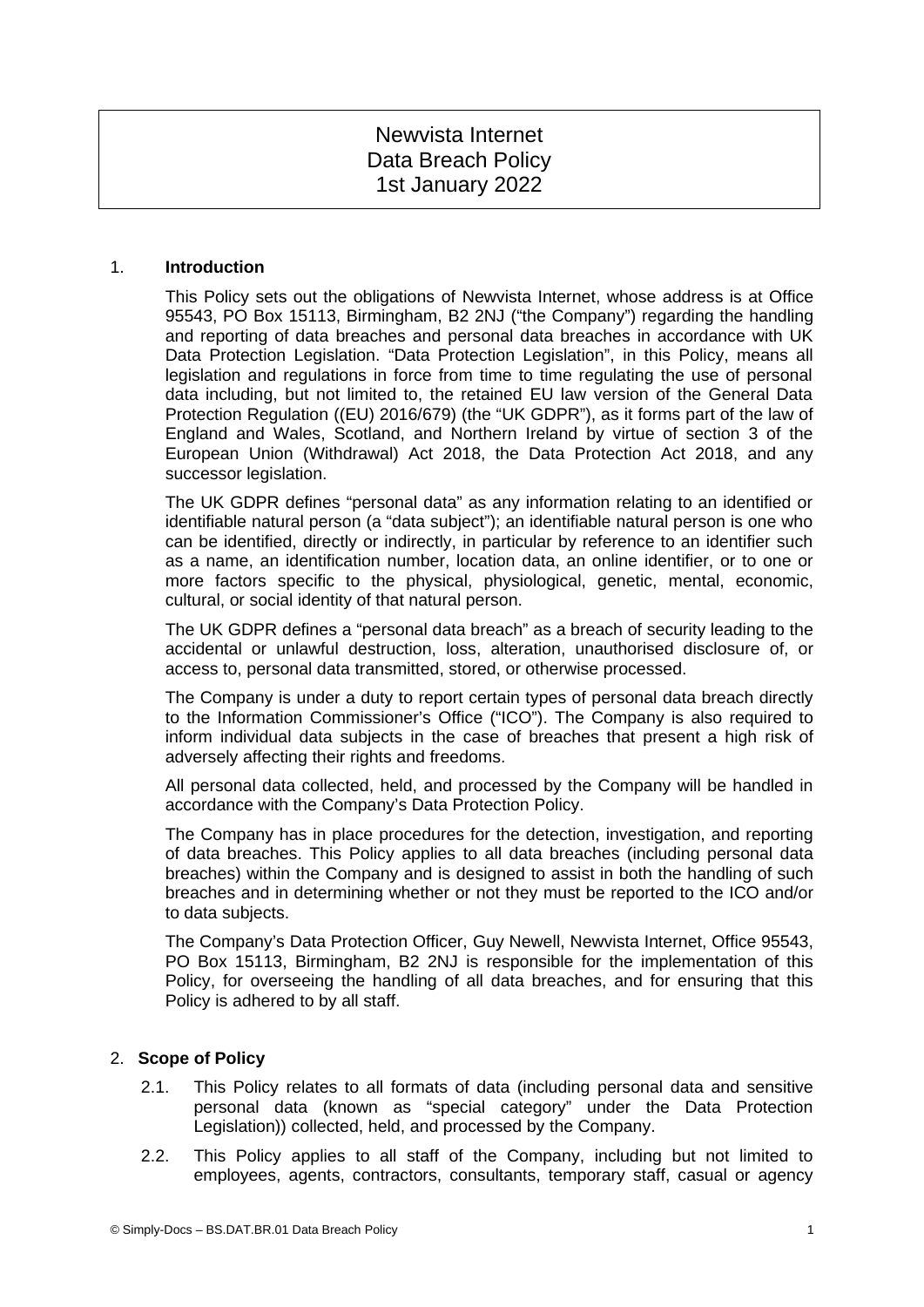# Newvista Internet Data Breach Policy 1st January 2022

## 1. **Introduction**

This Policy sets out the obligations of Newvista Internet, whose address is at Office 95543, PO Box 15113, Birmingham, B2 2NJ ("the Company") regarding the handling and reporting of data breaches and personal data breaches in accordance with UK Data Protection Legislation. "Data Protection Legislation", in this Policy, means all legislation and regulations in force from time to time regulating the use of personal data including, but not limited to, the retained EU law version of the General Data Protection Regulation ((EU) 2016/679) (the "UK GDPR"), as it forms part of the law of England and Wales, Scotland, and Northern Ireland by virtue of section 3 of the European Union (Withdrawal) Act 2018, the Data Protection Act 2018, and any successor legislation.

The UK GDPR defines "personal data" as any information relating to an identified or identifiable natural person (a "data subject"); an identifiable natural person is one who can be identified, directly or indirectly, in particular by reference to an identifier such as a name, an identification number, location data, an online identifier, or to one or more factors specific to the physical, physiological, genetic, mental, economic, cultural, or social identity of that natural person.

The UK GDPR defines a "personal data breach" as a breach of security leading to the accidental or unlawful destruction, loss, alteration, unauthorised disclosure of, or access to, personal data transmitted, stored, or otherwise processed.

The Company is under a duty to report certain types of personal data breach directly to the Information Commissioner's Office ("ICO"). The Company is also required to inform individual data subjects in the case of breaches that present a high risk of adversely affecting their rights and freedoms.

All personal data collected, held, and processed by the Company will be handled in accordance with the Company's Data Protection Policy.

The Company has in place procedures for the detection, investigation, and reporting of data breaches. This Policy applies to all data breaches (including personal data breaches) within the Company and is designed to assist in both the handling of such breaches and in determining whether or not they must be reported to the ICO and/or to data subjects.

The Company's Data Protection Officer, Guy Newell, Newvista Internet, Office 95543, PO Box 15113, Birmingham, B2 2NJ is responsible for the implementation of this Policy, for overseeing the handling of all data breaches, and for ensuring that this Policy is adhered to by all staff.

## 2. **Scope of Policy**

- 2.1. This Policy relates to all formats of data (including personal data and sensitive personal data (known as "special category" under the Data Protection Legislation)) collected, held, and processed by the Company.
- 2.2. This Policy applies to all staff of the Company, including but not limited to employees, agents, contractors, consultants, temporary staff, casual or agency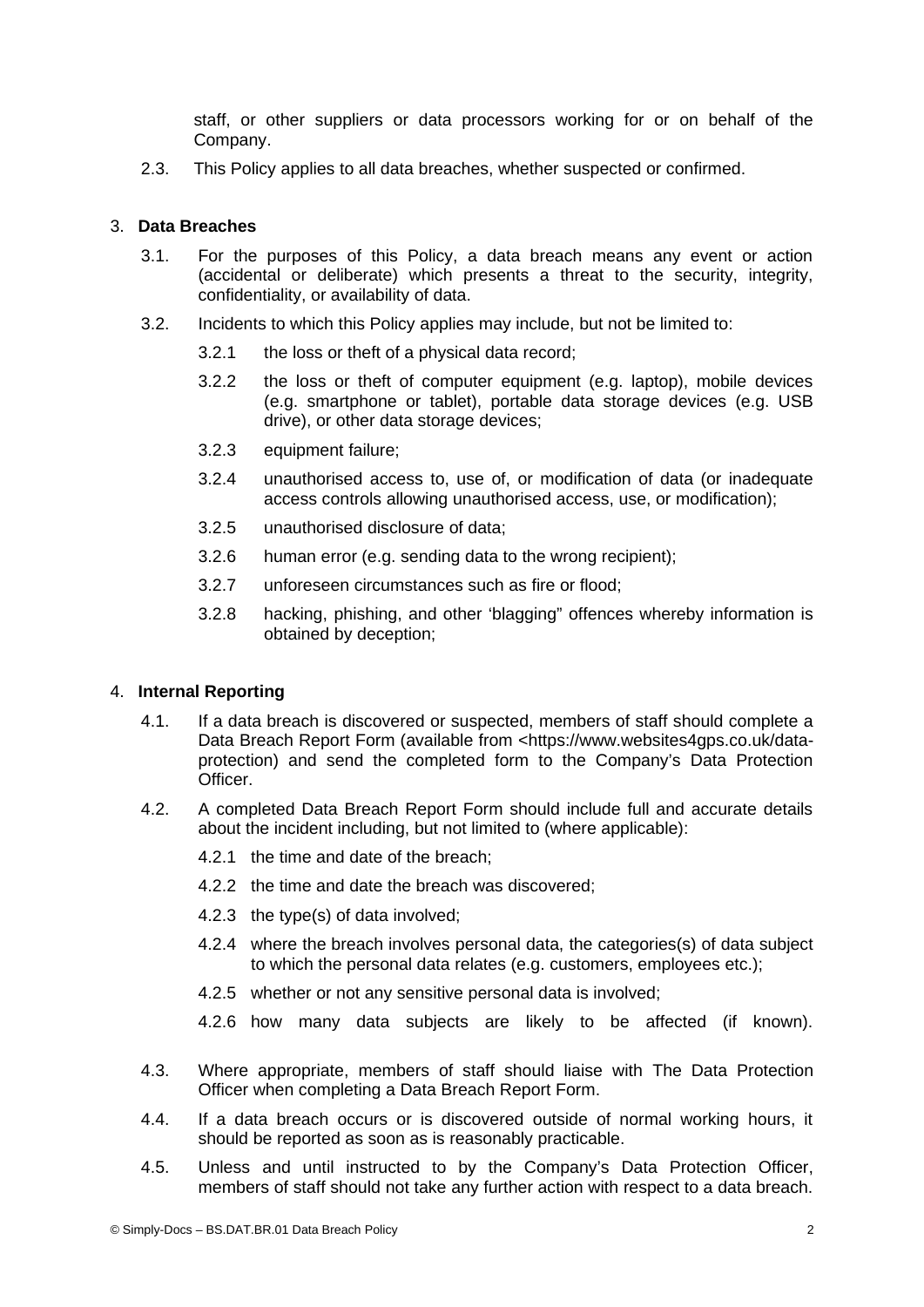staff, or other suppliers or data processors working for or on behalf of the Company.

2.3. This Policy applies to all data breaches, whether suspected or confirmed.

## 3. **Data Breaches**

- 3.1. For the purposes of this Policy, a data breach means any event or action (accidental or deliberate) which presents a threat to the security, integrity, confidentiality, or availability of data.
- 3.2. Incidents to which this Policy applies may include, but not be limited to:
	- 3.2.1 the loss or theft of a physical data record;
	- 3.2.2 the loss or theft of computer equipment (e.g. laptop), mobile devices (e.g. smartphone or tablet), portable data storage devices (e.g. USB drive), or other data storage devices;
	- 3.2.3 equipment failure;
	- 3.2.4 unauthorised access to, use of, or modification of data (or inadequate access controls allowing unauthorised access, use, or modification);
	- 3.2.5 unauthorised disclosure of data;
	- 3.2.6 human error (e.g. sending data to the wrong recipient);
	- 3.2.7 unforeseen circumstances such as fire or flood;
	- 3.2.8 hacking, phishing, and other 'blagging" offences whereby information is obtained by deception;

#### 4. **Internal Reporting**

- 4.1. If a data breach is discovered or suspected, members of staff should complete a Data Breach Report Form (available from <https://www.websites4gps.co.uk/dataprotection) and send the completed form to the Company's Data Protection Officer.
- 4.2. A completed Data Breach Report Form should include full and accurate details about the incident including, but not limited to (where applicable):
	- 4.2.1 the time and date of the breach;
	- 4.2.2 the time and date the breach was discovered;
	- 4.2.3 the type(s) of data involved;
	- 4.2.4 where the breach involves personal data, the categories(s) of data subject to which the personal data relates (e.g. customers, employees etc.);
	- 4.2.5 whether or not any sensitive personal data is involved;
	- 4.2.6 how many data subjects are likely to be affected (if known).
- 4.3. Where appropriate, members of staff should liaise with The Data Protection Officer when completing a Data Breach Report Form.
- 4.4. If a data breach occurs or is discovered outside of normal working hours, it should be reported as soon as is reasonably practicable.
- 4.5. Unless and until instructed to by the Company's Data Protection Officer, members of staff should not take any further action with respect to a data breach.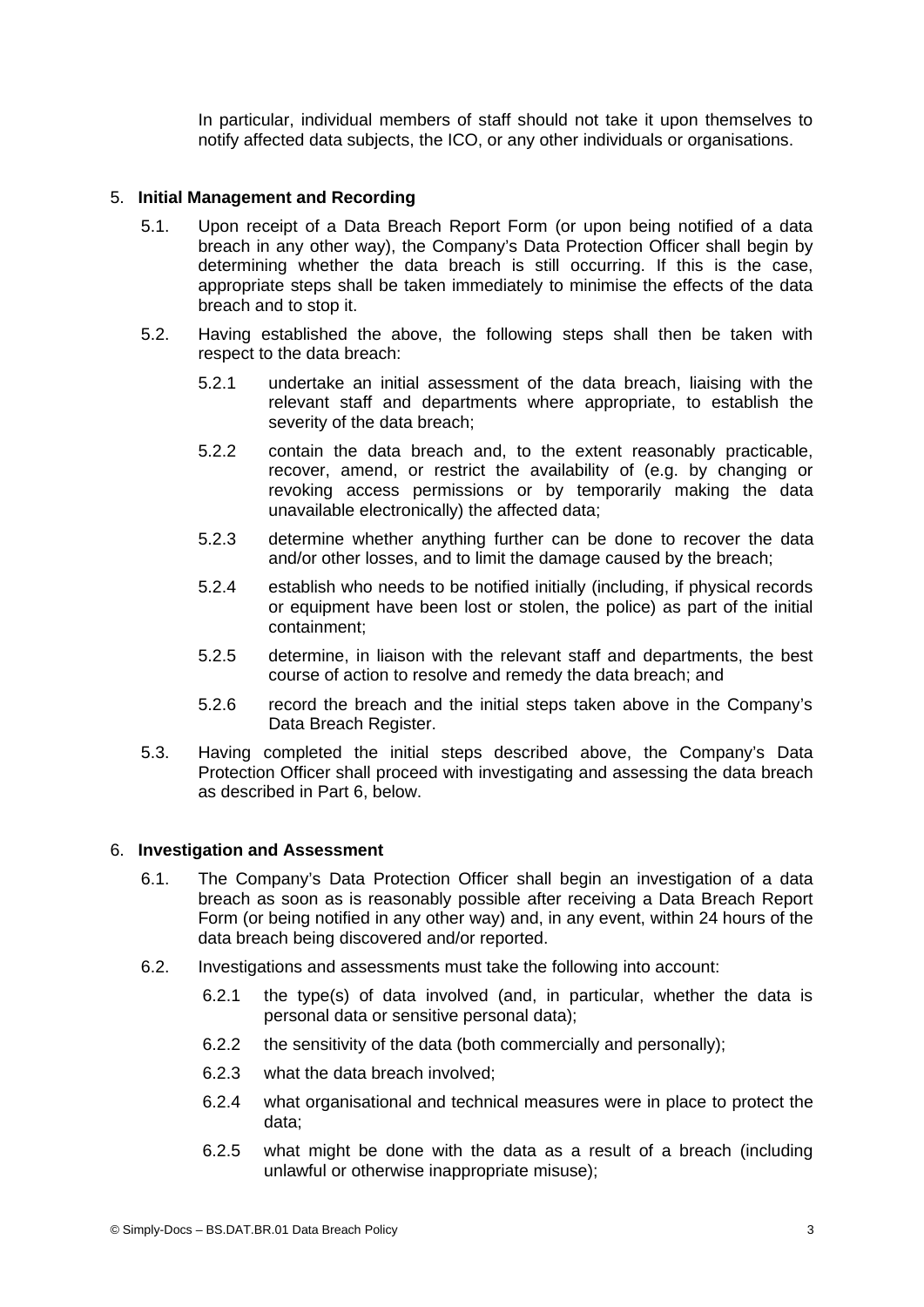In particular, individual members of staff should not take it upon themselves to notify affected data subjects, the ICO, or any other individuals or organisations.

## 5. **Initial Management and Recording**

- 5.1. Upon receipt of a Data Breach Report Form (or upon being notified of a data breach in any other way), the Company's Data Protection Officer shall begin by determining whether the data breach is still occurring. If this is the case, appropriate steps shall be taken immediately to minimise the effects of the data breach and to stop it.
- <span id="page-2-1"></span>5.2. Having established the above, the following steps shall then be taken with respect to the data breach:
	- 5.2.1 undertake an initial assessment of the data breach, liaising with the relevant staff and departments where appropriate, to establish the severity of the data breach;
	- 5.2.2 contain the data breach and, to the extent reasonably practicable, recover, amend, or restrict the availability of (e.g. by changing or revoking access permissions or by temporarily making the data unavailable electronically) the affected data;
	- 5.2.3 determine whether anything further can be done to recover the data and/or other losses, and to limit the damage caused by the breach;
	- 5.2.4 establish who needs to be notified initially (including, if physical records or equipment have been lost or stolen, the police) as part of the initial containment;
	- 5.2.5 determine, in liaison with the relevant staff and departments, the best course of action to resolve and remedy the data breach; and
	- 5.2.6 record the breach and the initial steps taken above in the Company's Data Breach Register.
- 5.3. Having completed the initial steps described above, the Company's Data Protection Officer shall proceed with investigating and assessing the data breach as described in Part [6](#page-2-0), below.

#### <span id="page-2-0"></span>6. **Investigation and Assessment**

- 6.1. The Company's Data Protection Officer shall begin an investigation of a data breach as soon as is reasonably possible after receiving a Data Breach Report Form (or being notified in any other way) and, in any event, within 24 hours of the data breach being discovered and/or reported.
- 6.2. Investigations and assessments must take the following into account:
	- 6.2.1 the type(s) of data involved (and, in particular, whether the data is personal data or sensitive personal data);
	- 6.2.2 the sensitivity of the data (both commercially and personally);
	- 6.2.3 what the data breach involved;
	- 6.2.4 what organisational and technical measures were in place to protect the data;
	- 6.2.5 what might be done with the data as a result of a breach (including unlawful or otherwise inappropriate misuse);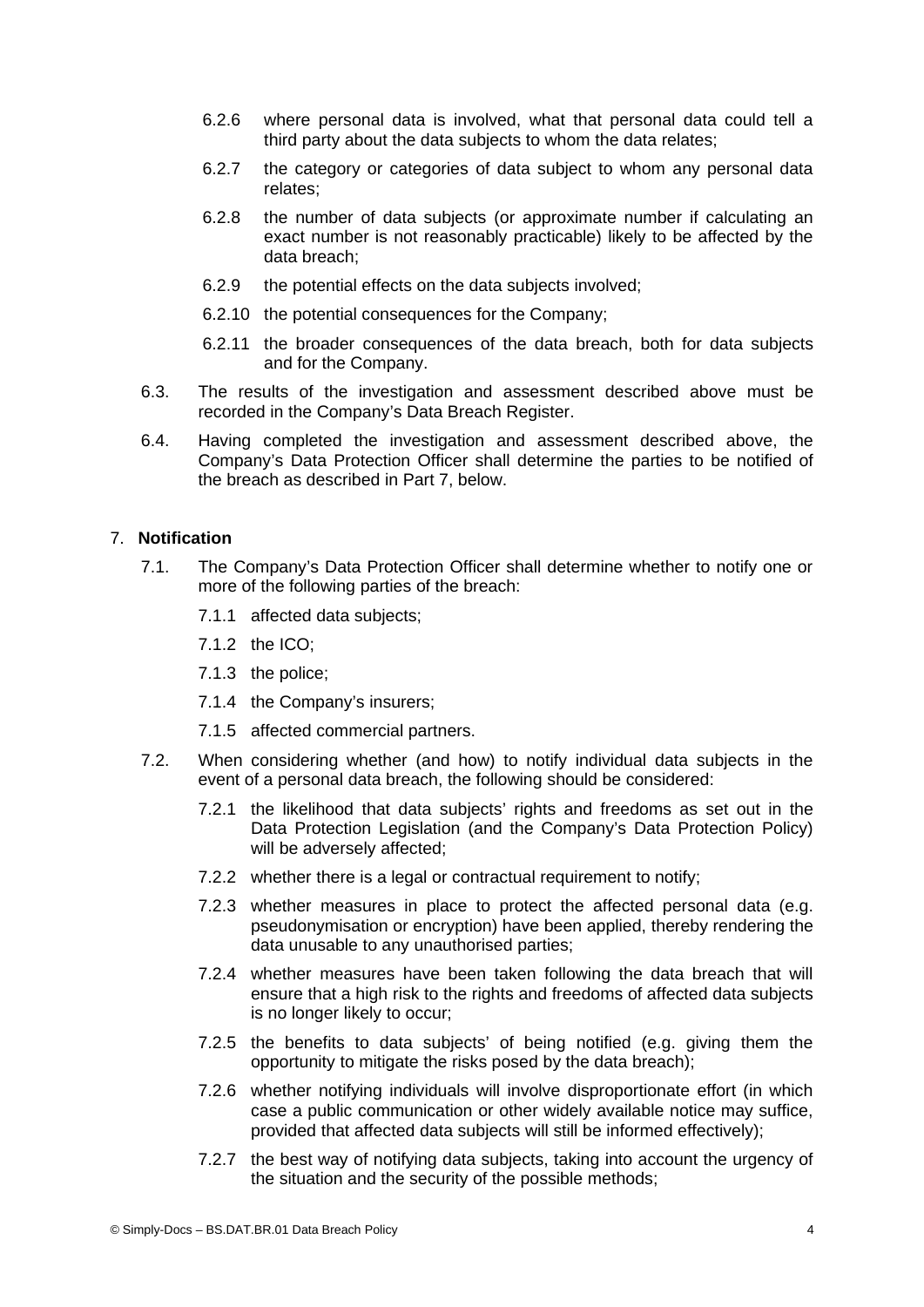- 6.2.6 where personal data is involved, what that personal data could tell a third party about the data subjects to whom the data relates;
- 6.2.7 the category or categories of data subject to whom any personal data relates;
- 6.2.8 the number of data subjects (or approximate number if calculating an exact number is not reasonably practicable) likely to be affected by the data breach;
- 6.2.9 the potential effects on the data subjects involved;
- 6.2.10 the potential consequences for the Company;
- 6.2.11 the broader consequences of the data breach, both for data subjects and for the Company.
- 6.3. The results of the investigation and assessment described above must be recorded in the Company's Data Breach Register.
- 6.4. Having completed the investigation and assessment described above, the Company's Data Protection Officer shall determine the parties to be notified of the breach as described in Part [7](#page-3-0), below.

## <span id="page-3-0"></span>7. **Notification**

- 7.1. The Company's Data Protection Officer shall determine whether to notify one or more of the following parties of the breach:
	- 7.1.1 affected data subjects;
	- 7.1.2 the ICO;
	- 7.1.3 the police;
	- 7.1.4 the Company's insurers;
	- 7.1.5 affected commercial partners.
- 7.2. When considering whether (and how) to notify individual data subjects in the event of a personal data breach, the following should be considered:
	- 7.2.1 the likelihood that data subjects' rights and freedoms as set out in the Data Protection Legislation (and the Company's Data Protection Policy) will be adversely affected;
	- 7.2.2 whether there is a legal or contractual requirement to notify;
	- 7.2.3 whether measures in place to protect the affected personal data (e.g. pseudonymisation or encryption) have been applied, thereby rendering the data unusable to any unauthorised parties;
	- 7.2.4 whether measures have been taken following the data breach that will ensure that a high risk to the rights and freedoms of affected data subjects is no longer likely to occur;
	- 7.2.5 the benefits to data subjects' of being notified (e.g. giving them the opportunity to mitigate the risks posed by the data breach);
	- 7.2.6 whether notifying individuals will involve disproportionate effort (in which case a public communication or other widely available notice may suffice, provided that affected data subjects will still be informed effectively);
	- 7.2.7 the best way of notifying data subjects, taking into account the urgency of the situation and the security of the possible methods;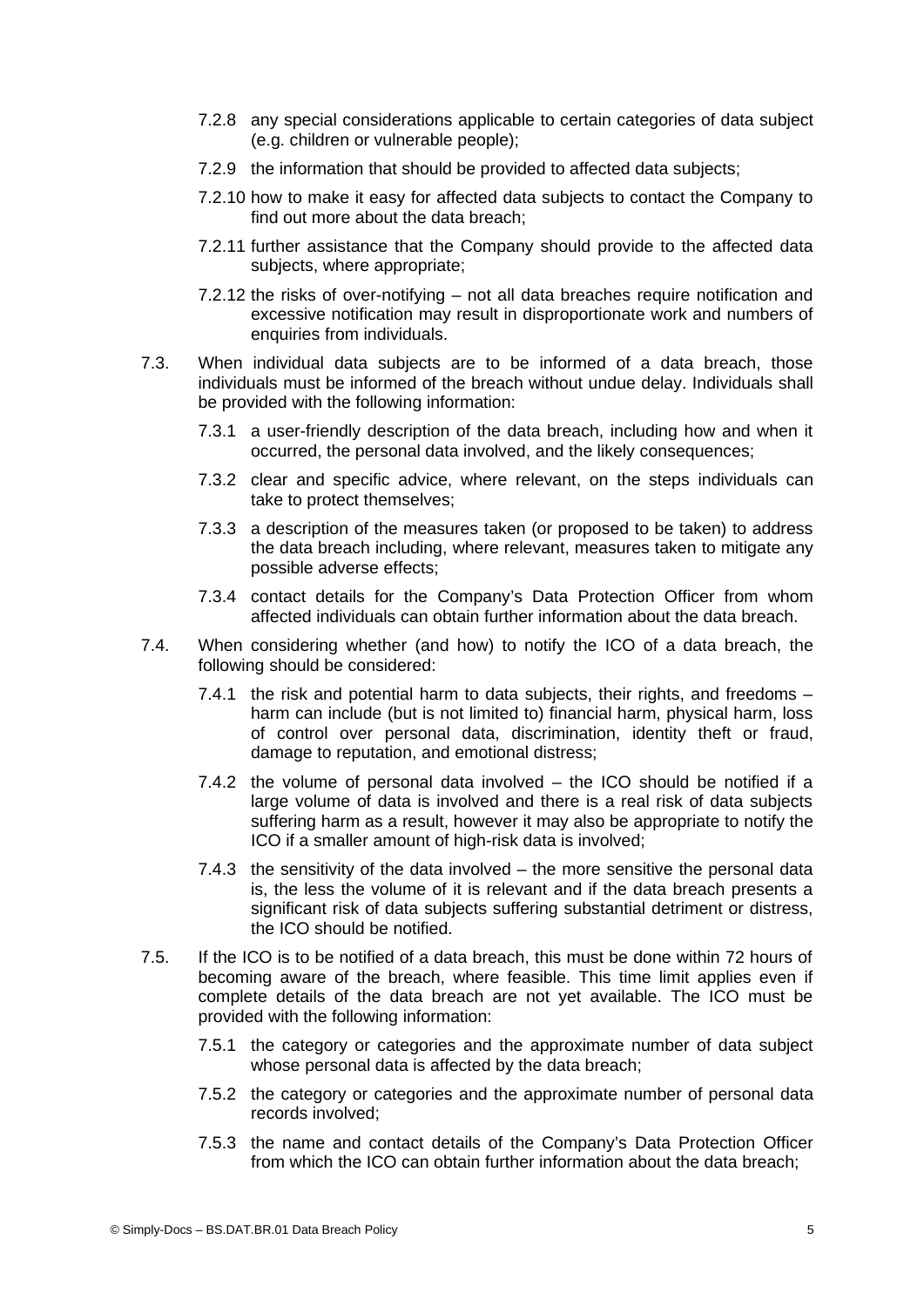- 7.2.8 any special considerations applicable to certain categories of data subject (e.g. children or vulnerable people);
- 7.2.9 the information that should be provided to affected data subjects;
- 7.2.10 how to make it easy for affected data subjects to contact the Company to find out more about the data breach;
- 7.2.11 further assistance that the Company should provide to the affected data subjects, where appropriate;
- 7.2.12 the risks of over-notifying not all data breaches require notification and excessive notification may result in disproportionate work and numbers of enquiries from individuals.
- 7.3. When individual data subjects are to be informed of a data breach, those individuals must be informed of the breach without undue delay. Individuals shall be provided with the following information:
	- 7.3.1 a user-friendly description of the data breach, including how and when it occurred, the personal data involved, and the likely consequences;
	- 7.3.2 clear and specific advice, where relevant, on the steps individuals can take to protect themselves;
	- 7.3.3 a description of the measures taken (or proposed to be taken) to address the data breach including, where relevant, measures taken to mitigate any possible adverse effects;
	- 7.3.4 contact details for the Company's Data Protection Officer from whom affected individuals can obtain further information about the data breach.
- 7.4. When considering whether (and how) to notify the ICO of a data breach, the following should be considered:
	- 7.4.1 the risk and potential harm to data subjects, their rights, and freedoms  $$ harm can include (but is not limited to) financial harm, physical harm, loss of control over personal data, discrimination, identity theft or fraud, damage to reputation, and emotional distress;
	- 7.4.2 the volume of personal data involved the ICO should be notified if a large volume of data is involved and there is a real risk of data subjects suffering harm as a result, however it may also be appropriate to notify the ICO if a smaller amount of high-risk data is involved;
	- 7.4.3 the sensitivity of the data involved the more sensitive the personal data is, the less the volume of it is relevant and if the data breach presents a significant risk of data subjects suffering substantial detriment or distress, the ICO should be notified.
- 7.5. If the ICO is to be notified of a data breach, this must be done within 72 hours of becoming aware of the breach, where feasible. This time limit applies even if complete details of the data breach are not yet available. The ICO must be provided with the following information:
	- 7.5.1 the category or categories and the approximate number of data subject whose personal data is affected by the data breach;
	- 7.5.2 the category or categories and the approximate number of personal data records involved;
	- 7.5.3 the name and contact details of the Company's Data Protection Officer from which the ICO can obtain further information about the data breach;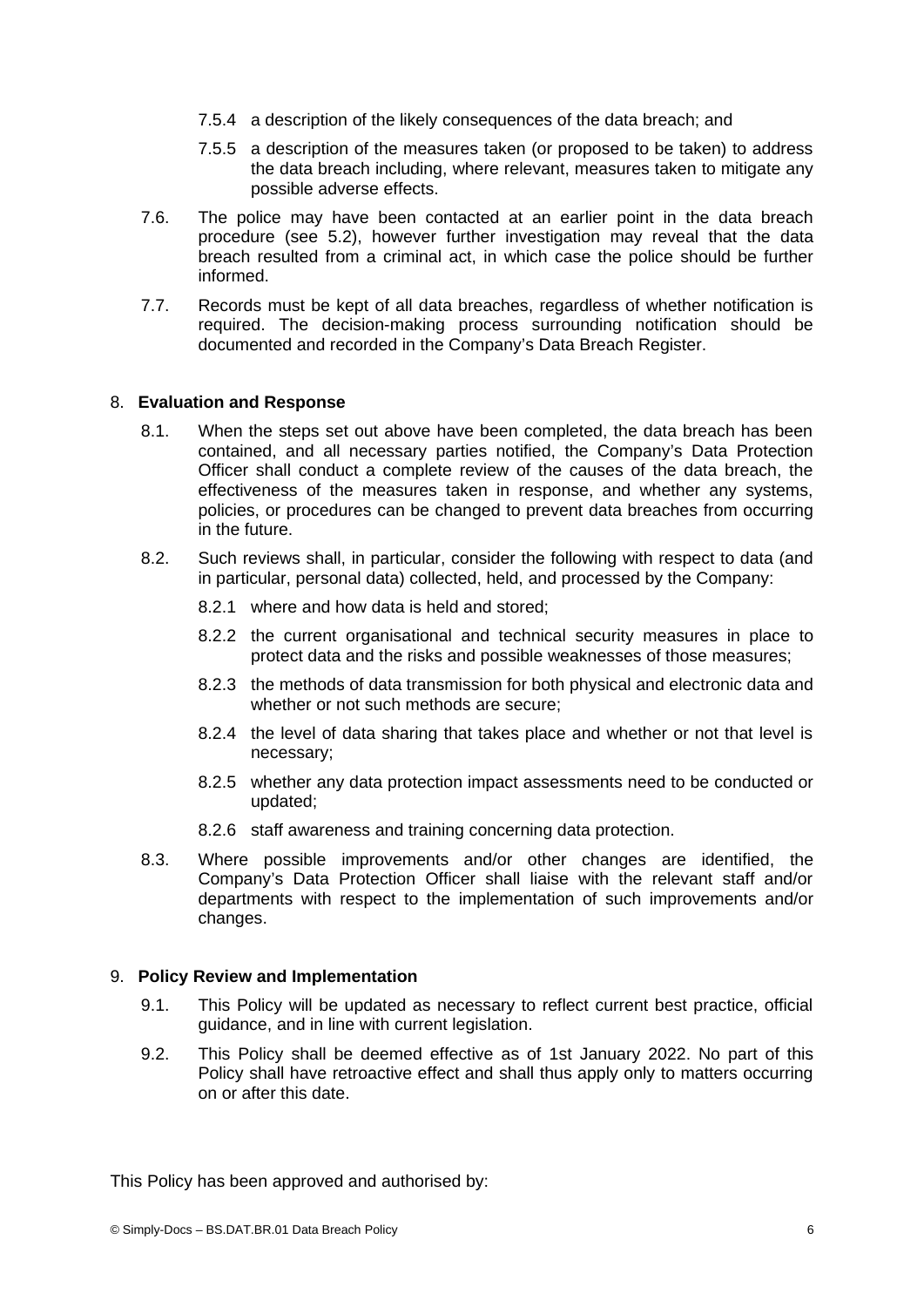- 7.5.4 a description of the likely consequences of the data breach; and
- 7.5.5 a description of the measures taken (or proposed to be taken) to address the data breach including, where relevant, measures taken to mitigate any possible adverse effects.
- 7.6. The police may have been contacted at an earlier point in the data breach procedure (see [5.2\)](#page-2-1), however further investigation may reveal that the data breach resulted from a criminal act, in which case the police should be further informed.
- 7.7. Records must be kept of all data breaches, regardless of whether notification is required. The decision-making process surrounding notification should be documented and recorded in the Company's Data Breach Register.

## 8. **Evaluation and Response**

- 8.1. When the steps set out above have been completed, the data breach has been contained, and all necessary parties notified, the Company's Data Protection Officer shall conduct a complete review of the causes of the data breach, the effectiveness of the measures taken in response, and whether any systems, policies, or procedures can be changed to prevent data breaches from occurring in the future.
- 8.2. Such reviews shall, in particular, consider the following with respect to data (and in particular, personal data) collected, held, and processed by the Company:
	- 8.2.1 where and how data is held and stored;
	- 8.2.2 the current organisational and technical security measures in place to protect data and the risks and possible weaknesses of those measures;
	- 8.2.3 the methods of data transmission for both physical and electronic data and whether or not such methods are secure;
	- 8.2.4 the level of data sharing that takes place and whether or not that level is necessary;
	- 8.2.5 whether any data protection impact assessments need to be conducted or updated;
	- 8.2.6 staff awareness and training concerning data protection.
- 8.3. Where possible improvements and/or other changes are identified, the Company's Data Protection Officer shall liaise with the relevant staff and/or departments with respect to the implementation of such improvements and/or changes.

#### 9. **Policy Review and Implementation**

- 9.1. This Policy will be updated as necessary to reflect current best practice, official guidance, and in line with current legislation.
- 9.2. This Policy shall be deemed effective as of 1st January 2022. No part of this Policy shall have retroactive effect and shall thus apply only to matters occurring on or after this date.

This Policy has been approved and authorised by: